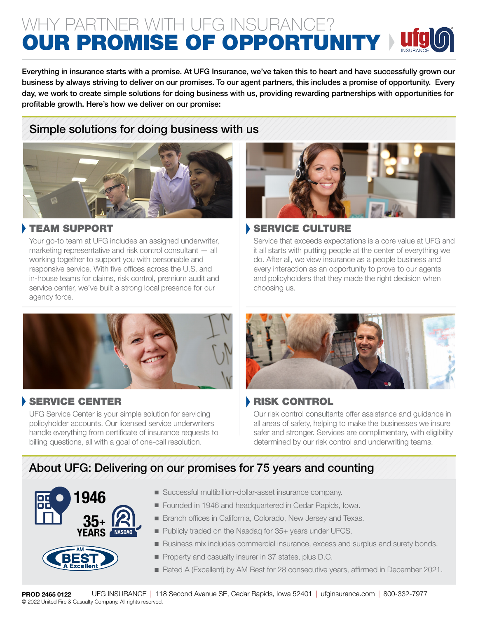# WHY PARTNER WITH UFG INSURANCE? OUR PROMISE OF OPPORTUNITY

Everything in insurance starts with a promise. At UFG Insurance, we've taken this to heart and have successfully grown our business by always striving to deliver on our promises. To our agent partners, this includes a promise of opportunity. Every day, we work to create simple solutions for doing business with us, providing rewarding partnerships with opportunities for profitable growth. Here's how we deliver on our promise:

## Simple solutions for doing business with us



## TEAM SUPPORT

Your go-to team at UFG includes an assigned underwriter, marketing representative and risk control consultant — all working together to support you with personable and responsive service. With five offices across the U.S. and in-house teams for claims, risk control, premium audit and service center, we've built a strong local presence for our agency force.



## SERVICE CENTER

UFG Service Center is your simple solution for servicing policyholder accounts. Our licensed service underwriters handle everything from certificate of insurance requests to billing questions, all with a goal of one-call resolution.



## SERVICE CULTURE

Service that exceeds expectations is a core value at UFG and it all starts with putting people at the center of everything we do. After all, we view insurance as a people business and every interaction as an opportunity to prove to our agents and policyholders that they made the right decision when choosing us.



## RISK CONTROL

Our risk control consultants offer assistance and guidance in all areas of safety, helping to make the businesses we insure safer and stronger. Services are complimentary, with eligibility determined by our risk control and underwriting teams.

# About UFG: Delivering on our promises for 75 years and counting



- Successful multibillion-dollar-asset insurance company.
- Founded in 1946 and headquartered in Cedar Rapids, Iowa.
- **E** Branch offices in California, Colorado, New Jersey and Texas.
- Publicly traded on the Nasdag for 35+ years under UFCS.
- <sup>n</sup> Business mix includes commercial insurance, excess and surplus and surety bonds.
- **Property and casualty insurer in 37 states, plus D.C.**
- Rated A (Excellent) by AM Best for 28 consecutive years, affirmed in December 2021.